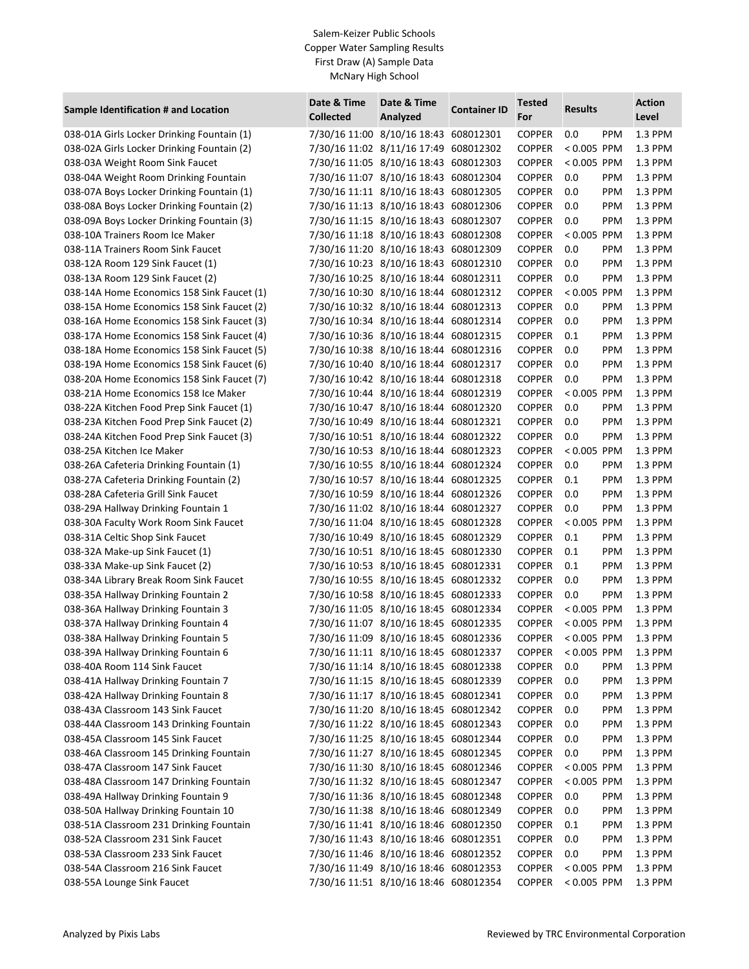| Sample Identification # and Location       | Date & Time<br><b>Collected</b> | Date & Time<br>Analyzed               | <b>Container ID</b> | <b>Tested</b><br>For | <b>Results</b> |            | <b>Action</b><br>Level |
|--------------------------------------------|---------------------------------|---------------------------------------|---------------------|----------------------|----------------|------------|------------------------|
| 038-01A Girls Locker Drinking Fountain (1) |                                 | 7/30/16 11:00 8/10/16 18:43 608012301 |                     | <b>COPPER</b>        | 0.0            | <b>PPM</b> | 1.3 PPM                |
| 038-02A Girls Locker Drinking Fountain (2) |                                 | 7/30/16 11:02 8/11/16 17:49 608012302 |                     | <b>COPPER</b>        | $< 0.005$ PPM  |            | 1.3 PPM                |
| 038-03A Weight Room Sink Faucet            |                                 | 7/30/16 11:05 8/10/16 18:43 608012303 |                     | <b>COPPER</b>        | < 0.005 PPM    |            | 1.3 PPM                |
| 038-04A Weight Room Drinking Fountain      |                                 | 7/30/16 11:07 8/10/16 18:43 608012304 |                     | <b>COPPER</b>        | 0.0            | PPM        | 1.3 PPM                |
| 038-07A Boys Locker Drinking Fountain (1)  |                                 | 7/30/16 11:11 8/10/16 18:43 608012305 |                     | <b>COPPER</b>        | 0.0            | <b>PPM</b> | 1.3 PPM                |
| 038-08A Boys Locker Drinking Fountain (2)  |                                 | 7/30/16 11:13 8/10/16 18:43 608012306 |                     | <b>COPPER</b>        | 0.0            | PPM        | 1.3 PPM                |
| 038-09A Boys Locker Drinking Fountain (3)  |                                 | 7/30/16 11:15 8/10/16 18:43 608012307 |                     | <b>COPPER</b>        | 0.0            | PPM        | 1.3 PPM                |
| 038-10A Trainers Room Ice Maker            |                                 | 7/30/16 11:18 8/10/16 18:43 608012308 |                     | <b>COPPER</b>        | $< 0.005$ PPM  |            | 1.3 PPM                |
| 038-11A Trainers Room Sink Faucet          |                                 | 7/30/16 11:20 8/10/16 18:43 608012309 |                     | <b>COPPER</b>        | 0.0            | PPM        | 1.3 PPM                |
| 038-12A Room 129 Sink Faucet (1)           |                                 | 7/30/16 10:23 8/10/16 18:43 608012310 |                     | <b>COPPER</b>        | 0.0            | PPM        | 1.3 PPM                |
| 038-13A Room 129 Sink Faucet (2)           |                                 | 7/30/16 10:25 8/10/16 18:44 608012311 |                     | <b>COPPER</b>        | 0.0            | PPM        | 1.3 PPM                |
| 038-14A Home Economics 158 Sink Faucet (1) |                                 | 7/30/16 10:30 8/10/16 18:44 608012312 |                     | <b>COPPER</b>        | < 0.005 PPM    |            | 1.3 PPM                |
| 038-15A Home Economics 158 Sink Faucet (2) |                                 | 7/30/16 10:32 8/10/16 18:44 608012313 |                     | <b>COPPER</b>        | 0.0            | PPM        | 1.3 PPM                |
| 038-16A Home Economics 158 Sink Faucet (3) |                                 | 7/30/16 10:34 8/10/16 18:44 608012314 |                     | <b>COPPER</b>        | 0.0            | PPM        | 1.3 PPM                |
| 038-17A Home Economics 158 Sink Faucet (4) |                                 | 7/30/16 10:36 8/10/16 18:44 608012315 |                     | <b>COPPER</b>        | 0.1            | PPM        | 1.3 PPM                |
| 038-18A Home Economics 158 Sink Faucet (5) |                                 | 7/30/16 10:38 8/10/16 18:44 608012316 |                     | <b>COPPER</b>        | 0.0            | PPM        | 1.3 PPM                |
| 038-19A Home Economics 158 Sink Faucet (6) |                                 | 7/30/16 10:40 8/10/16 18:44 608012317 |                     | <b>COPPER</b>        | 0.0            | PPM        | 1.3 PPM                |
| 038-20A Home Economics 158 Sink Faucet (7) |                                 | 7/30/16 10:42 8/10/16 18:44 608012318 |                     | <b>COPPER</b>        | 0.0            | PPM        | 1.3 PPM                |
| 038-21A Home Economics 158 Ice Maker       |                                 | 7/30/16 10:44 8/10/16 18:44 608012319 |                     | <b>COPPER</b>        | $< 0.005$ PPM  |            | 1.3 PPM                |
| 038-22A Kitchen Food Prep Sink Faucet (1)  |                                 | 7/30/16 10:47 8/10/16 18:44 608012320 |                     | <b>COPPER</b>        | 0.0            | PPM        | 1.3 PPM                |
| 038-23A Kitchen Food Prep Sink Faucet (2)  |                                 | 7/30/16 10:49 8/10/16 18:44 608012321 |                     | <b>COPPER</b>        | 0.0            | PPM        | 1.3 PPM                |
| 038-24A Kitchen Food Prep Sink Faucet (3)  |                                 | 7/30/16 10:51 8/10/16 18:44 608012322 |                     | <b>COPPER</b>        | 0.0            | PPM        | 1.3 PPM                |
| 038-25A Kitchen Ice Maker                  |                                 | 7/30/16 10:53 8/10/16 18:44 608012323 |                     | <b>COPPER</b>        | < 0.005 PPM    |            | 1.3 PPM                |
| 038-26A Cafeteria Drinking Fountain (1)    |                                 | 7/30/16 10:55 8/10/16 18:44 608012324 |                     | <b>COPPER</b>        | 0.0            | PPM        | 1.3 PPM                |
| 038-27A Cafeteria Drinking Fountain (2)    |                                 | 7/30/16 10:57 8/10/16 18:44 608012325 |                     | <b>COPPER</b>        | 0.1            | PPM        | 1.3 PPM                |
| 038-28A Cafeteria Grill Sink Faucet        |                                 | 7/30/16 10:59 8/10/16 18:44 608012326 |                     | <b>COPPER</b>        | 0.0            | <b>PPM</b> | 1.3 PPM                |
| 038-29A Hallway Drinking Fountain 1        |                                 | 7/30/16 11:02 8/10/16 18:44 608012327 |                     | <b>COPPER</b>        | 0.0            | <b>PPM</b> | 1.3 PPM                |
| 038-30A Faculty Work Room Sink Faucet      |                                 | 7/30/16 11:04 8/10/16 18:45 608012328 |                     | <b>COPPER</b>        | < 0.005 PPM    |            | 1.3 PPM                |
| 038-31A Celtic Shop Sink Faucet            |                                 | 7/30/16 10:49 8/10/16 18:45 608012329 |                     | <b>COPPER</b>        | 0.1            | PPM        | 1.3 PPM                |
| 038-32A Make-up Sink Faucet (1)            |                                 | 7/30/16 10:51 8/10/16 18:45 608012330 |                     | <b>COPPER</b>        | 0.1            | PPM        | 1.3 PPM                |
| 038-33A Make-up Sink Faucet (2)            |                                 | 7/30/16 10:53 8/10/16 18:45 608012331 |                     | <b>COPPER</b>        | 0.1            | PPM        | 1.3 PPM                |
| 038-34A Library Break Room Sink Faucet     |                                 | 7/30/16 10:55 8/10/16 18:45 608012332 |                     | <b>COPPER</b>        | 0.0            | PPM        | 1.3 PPM                |
| 038-35A Hallway Drinking Fountain 2        |                                 | 7/30/16 10:58 8/10/16 18:45 608012333 |                     | <b>COPPER</b>        | 0.0            | PPM        | 1.3 PPM                |
| 038-36A Hallway Drinking Fountain 3        |                                 | 7/30/16 11:05 8/10/16 18:45 608012334 |                     | <b>COPPER</b>        | $< 0.005$ PPM  |            | 1.3 PPM                |
| 038-37A Hallway Drinking Fountain 4        |                                 | 7/30/16 11:07 8/10/16 18:45 608012335 |                     | <b>COPPER</b>        | < 0.005 PPM    |            | 1.3 PPM                |
| 038-38A Hallway Drinking Fountain 5        |                                 | 7/30/16 11:09 8/10/16 18:45 608012336 |                     | <b>COPPER</b>        | $< 0.005$ PPM  |            | 1.3 PPM                |
| 038-39A Hallway Drinking Fountain 6        |                                 | 7/30/16 11:11 8/10/16 18:45 608012337 |                     | <b>COPPER</b>        | $< 0.005$ PPM  |            | 1.3 PPM                |
| 038-40A Room 114 Sink Faucet               |                                 | 7/30/16 11:14 8/10/16 18:45 608012338 |                     | <b>COPPER</b>        | 0.0            | PPM        | 1.3 PPM                |
| 038-41A Hallway Drinking Fountain 7        |                                 | 7/30/16 11:15 8/10/16 18:45 608012339 |                     | <b>COPPER</b>        | 0.0            | PPM        | 1.3 PPM                |
| 038-42A Hallway Drinking Fountain 8        |                                 | 7/30/16 11:17 8/10/16 18:45 608012341 |                     | <b>COPPER</b>        | 0.0            | PPM        | 1.3 PPM                |
| 038-43A Classroom 143 Sink Faucet          |                                 | 7/30/16 11:20 8/10/16 18:45 608012342 |                     | <b>COPPER</b>        | 0.0            | PPM        | 1.3 PPM                |
| 038-44A Classroom 143 Drinking Fountain    |                                 | 7/30/16 11:22 8/10/16 18:45 608012343 |                     | <b>COPPER</b>        | 0.0            | PPM        | 1.3 PPM                |
| 038-45A Classroom 145 Sink Faucet          |                                 | 7/30/16 11:25 8/10/16 18:45 608012344 |                     | <b>COPPER</b>        | 0.0            | PPM        | 1.3 PPM                |
| 038-46A Classroom 145 Drinking Fountain    |                                 | 7/30/16 11:27 8/10/16 18:45 608012345 |                     | <b>COPPER</b>        | 0.0            | PPM        | 1.3 PPM                |
| 038-47A Classroom 147 Sink Faucet          |                                 | 7/30/16 11:30 8/10/16 18:45 608012346 |                     | <b>COPPER</b>        | $< 0.005$ PPM  |            | 1.3 PPM                |
| 038-48A Classroom 147 Drinking Fountain    |                                 | 7/30/16 11:32 8/10/16 18:45 608012347 |                     | <b>COPPER</b>        | $< 0.005$ PPM  |            | 1.3 PPM                |
| 038-49A Hallway Drinking Fountain 9        |                                 | 7/30/16 11:36 8/10/16 18:45 608012348 |                     | <b>COPPER</b>        | 0.0            | PPM        | 1.3 PPM                |
| 038-50A Hallway Drinking Fountain 10       |                                 | 7/30/16 11:38 8/10/16 18:46 608012349 |                     | <b>COPPER</b>        | 0.0            | PPM        | 1.3 PPM                |
| 038-51A Classroom 231 Drinking Fountain    |                                 | 7/30/16 11:41 8/10/16 18:46 608012350 |                     | <b>COPPER</b>        | 0.1            | PPM        | 1.3 PPM                |
| 038-52A Classroom 231 Sink Faucet          |                                 | 7/30/16 11:43 8/10/16 18:46 608012351 |                     | <b>COPPER</b>        | 0.0            | PPM        | 1.3 PPM                |
| 038-53A Classroom 233 Sink Faucet          |                                 | 7/30/16 11:46 8/10/16 18:46 608012352 |                     | <b>COPPER</b>        | 0.0            | PPM        | 1.3 PPM                |
| 038-54A Classroom 216 Sink Faucet          |                                 | 7/30/16 11:49 8/10/16 18:46 608012353 |                     | <b>COPPER</b>        | $< 0.005$ PPM  |            | 1.3 PPM                |
| 038-55A Lounge Sink Faucet                 |                                 | 7/30/16 11:51 8/10/16 18:46 608012354 |                     | <b>COPPER</b>        | $< 0.005$ PPM  |            | 1.3 PPM                |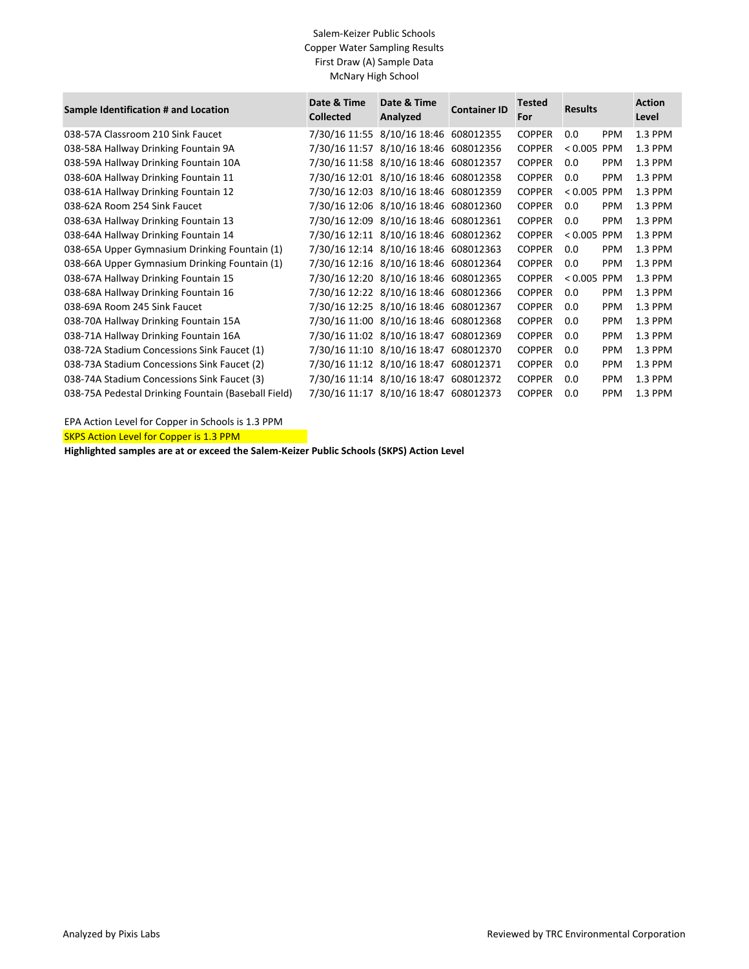| Sample Identification # and Location                | Date & Time<br><b>Collected</b> | Date & Time<br>Analyzed               | <b>Container ID</b> | <b>Tested</b><br>For | <b>Results</b> |            | <b>Action</b><br>Level |
|-----------------------------------------------------|---------------------------------|---------------------------------------|---------------------|----------------------|----------------|------------|------------------------|
| 038-57A Classroom 210 Sink Faucet                   | 7/30/16 11:55                   | 8/10/16 18:46 608012355               |                     | <b>COPPER</b>        | 0.0            | <b>PPM</b> | 1.3 PPM                |
| 038-58A Hallway Drinking Fountain 9A                |                                 | 7/30/16 11:57 8/10/16 18:46 608012356 |                     | <b>COPPER</b>        | $< 0.005$ PPM  |            | 1.3 PPM                |
| 038-59A Hallway Drinking Fountain 10A               |                                 | 7/30/16 11:58 8/10/16 18:46 608012357 |                     | <b>COPPER</b>        | 0.0            | <b>PPM</b> | 1.3 PPM                |
| 038-60A Hallway Drinking Fountain 11                |                                 | 7/30/16 12:01 8/10/16 18:46 608012358 |                     | <b>COPPER</b>        | 0.0            | <b>PPM</b> | 1.3 PPM                |
| 038-61A Hallway Drinking Fountain 12                |                                 | 7/30/16 12:03 8/10/16 18:46 608012359 |                     | <b>COPPER</b>        | $< 0.005$ PPM  |            | 1.3 PPM                |
| 038-62A Room 254 Sink Faucet                        |                                 | 7/30/16 12:06 8/10/16 18:46 608012360 |                     | <b>COPPER</b>        | 0.0            | <b>PPM</b> | 1.3 PPM                |
| 038-63A Hallway Drinking Fountain 13                |                                 | 7/30/16 12:09 8/10/16 18:46 608012361 |                     | <b>COPPER</b>        | 0.0            | <b>PPM</b> | 1.3 PPM                |
| 038-64A Hallway Drinking Fountain 14                |                                 | 7/30/16 12:11 8/10/16 18:46 608012362 |                     | <b>COPPER</b>        | $< 0.005$ PPM  |            | 1.3 PPM                |
| 038-65A Upper Gymnasium Drinking Fountain (1)       |                                 | 7/30/16 12:14 8/10/16 18:46 608012363 |                     | <b>COPPER</b>        | 0.0            | <b>PPM</b> | 1.3 PPM                |
| 038-66A Upper Gymnasium Drinking Fountain (1)       |                                 | 7/30/16 12:16 8/10/16 18:46 608012364 |                     | <b>COPPER</b>        | 0.0            | <b>PPM</b> | 1.3 PPM                |
| 038-67A Hallway Drinking Fountain 15                |                                 | 7/30/16 12:20 8/10/16 18:46 608012365 |                     | <b>COPPER</b>        | $< 0.005$ PPM  |            | 1.3 PPM                |
| 038-68A Hallway Drinking Fountain 16                |                                 | 7/30/16 12:22 8/10/16 18:46 608012366 |                     | <b>COPPER</b>        | 0.0            | <b>PPM</b> | 1.3 PPM                |
| 038-69A Room 245 Sink Faucet                        |                                 | 7/30/16 12:25 8/10/16 18:46 608012367 |                     | <b>COPPER</b>        | 0.0            | <b>PPM</b> | 1.3 PPM                |
| 038-70A Hallway Drinking Fountain 15A               |                                 | 7/30/16 11:00 8/10/16 18:46 608012368 |                     | <b>COPPER</b>        | 0.0            | <b>PPM</b> | 1.3 PPM                |
| 038-71A Hallway Drinking Fountain 16A               |                                 | 7/30/16 11:02 8/10/16 18:47           | 608012369           | <b>COPPER</b>        | 0.0            | <b>PPM</b> | 1.3 PPM                |
| 038-72A Stadium Concessions Sink Faucet (1)         |                                 | 7/30/16 11:10 8/10/16 18:47 608012370 |                     | <b>COPPER</b>        | 0.0            | <b>PPM</b> | 1.3 PPM                |
| 038-73A Stadium Concessions Sink Faucet (2)         |                                 | 7/30/16 11:12 8/10/16 18:47 608012371 |                     | <b>COPPER</b>        | 0.0            | <b>PPM</b> | 1.3 PPM                |
| 038-74A Stadium Concessions Sink Faucet (3)         |                                 | 7/30/16 11:14 8/10/16 18:47 608012372 |                     | <b>COPPER</b>        | 0.0            | <b>PPM</b> | 1.3 PPM                |
| 038-75A Pedestal Drinking Fountain (Baseball Field) |                                 | 7/30/16 11:17 8/10/16 18:47           | 608012373           | <b>COPPER</b>        | 0.0            | <b>PPM</b> | 1.3 PPM                |

EPA Action Level for Copper in Schools is 1.3 PPM

SKPS Action Level for Copper is 1.3 PPM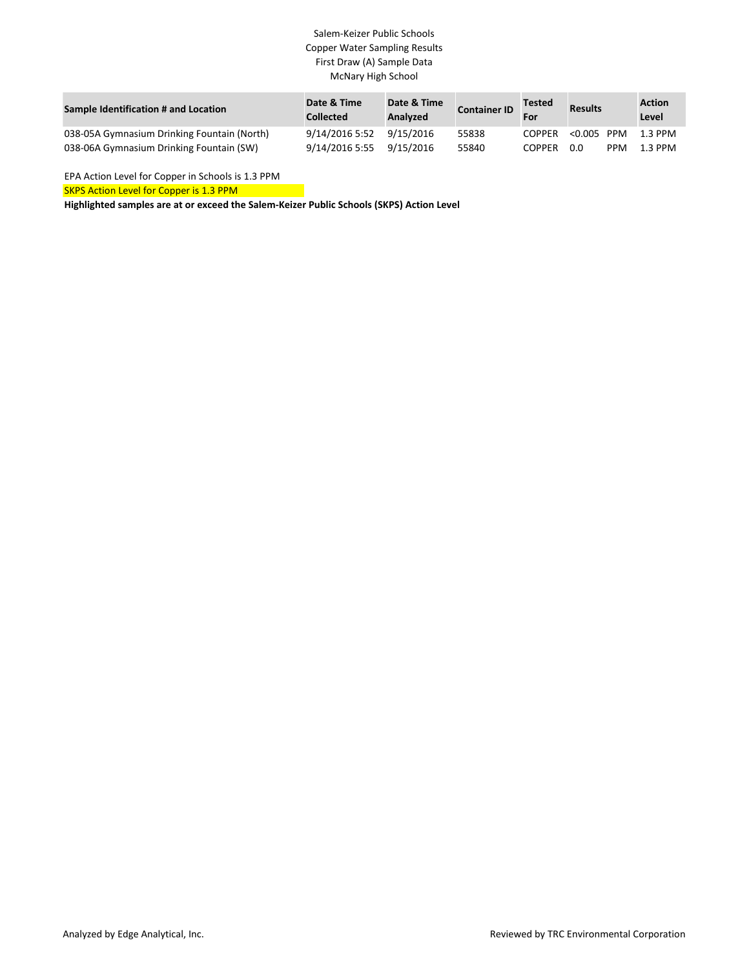| Sample Identification # and Location        | Date & Time<br><b>Collected</b> | Date & Time<br>Analyzed | <b>Container ID</b> | <b>Tested</b><br>For | <b>Results</b> |            | <b>Action</b><br>Level |
|---------------------------------------------|---------------------------------|-------------------------|---------------------|----------------------|----------------|------------|------------------------|
| 038-05A Gymnasium Drinking Fountain (North) | 9/14/2016 5:52                  | 9/15/2016               | 55838               | <b>COPPER</b>        | < 0.005        | PPM        | 1.3 PPM                |
| 038-06A Gymnasium Drinking Fountain (SW)    | 9/14/2016 5:55                  | 9/15/2016               | 55840               | <b>COPPER</b>        | 0.0            | <b>PPM</b> | 1.3 PPM                |

EPA Action Level for Copper in Schools is 1.3 PPM

SKPS Action Level for Copper is 1.3 PPM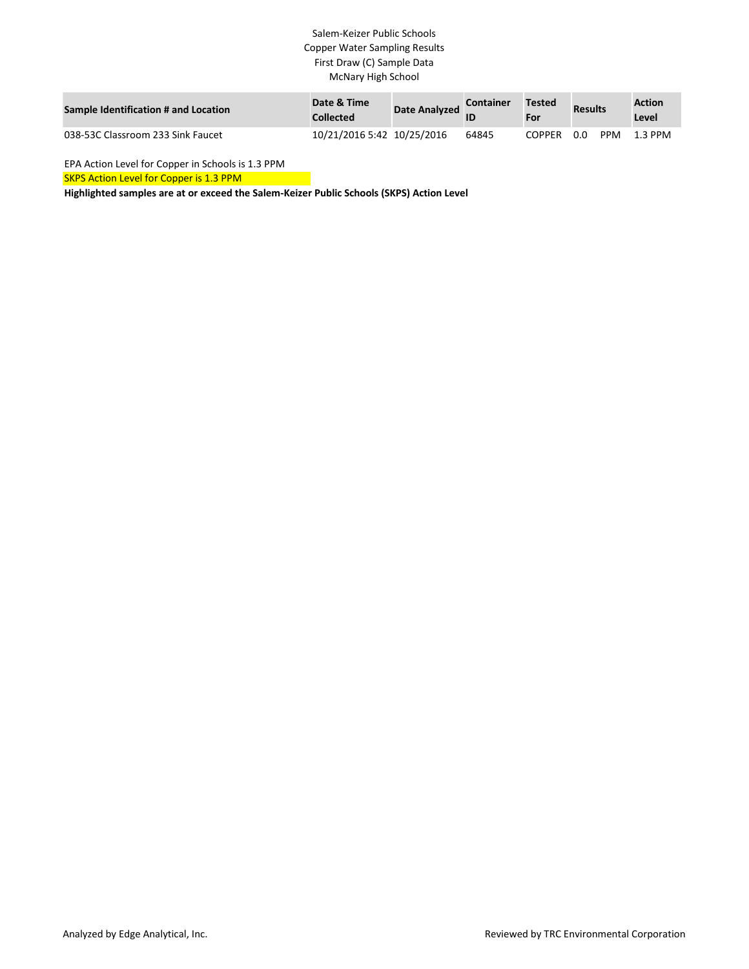| Sample Identification # and Location | Date & Time<br><b>Collected</b> | Date Analyzed | <b>Container</b> | Tested<br>For | <b>Results</b> |            | <b>Action</b><br>Level |
|--------------------------------------|---------------------------------|---------------|------------------|---------------|----------------|------------|------------------------|
| 038-53C Classroom 233 Sink Faucet    | 10/21/2016 5:42 10/25/2016      |               | 64845            | <b>COPPER</b> | 0.0            | <b>PPM</b> | 1.3 PPM                |

EPA Action Level for Copper in Schools is 1.3 PPM

**SKPS Action Level for Copper is 1.3 PPM**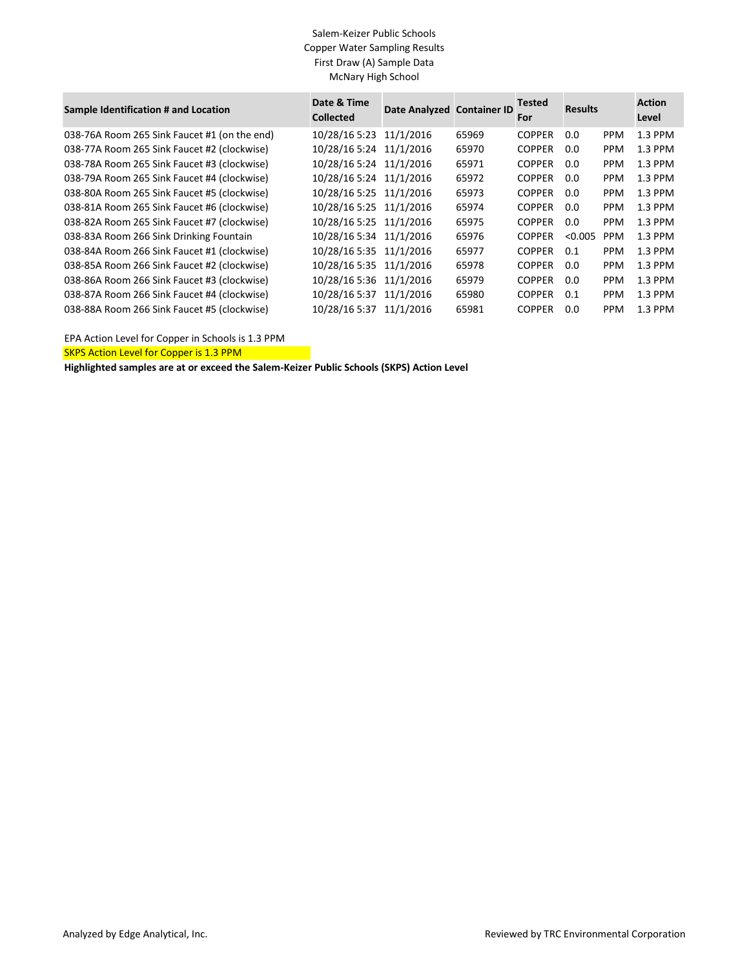| Sample Identification # and Location         | Date & Time<br><b>Collected</b> | Date Analyzed Container ID |       | <b>Tested</b><br>For | <b>Results</b> |            | <b>Action</b><br>Level |
|----------------------------------------------|---------------------------------|----------------------------|-------|----------------------|----------------|------------|------------------------|
| 038-76A Room 265 Sink Faucet #1 (on the end) | 10/28/16 5:23                   | 11/1/2016                  | 65969 | <b>COPPER</b>        | 0.0            | <b>PPM</b> | 1.3 PPM                |
| 038-77A Room 265 Sink Faucet #2 (clockwise)  | 10/28/16 5:24 11/1/2016         |                            | 65970 | <b>COPPER</b>        | 0.0            | <b>PPM</b> | 1.3 PPM                |
| 038-78A Room 265 Sink Faucet #3 (clockwise)  | 10/28/16 5:24 11/1/2016         |                            | 65971 | <b>COPPER</b>        | 0.0            | <b>PPM</b> | 1.3 PPM                |
| 038-79A Room 265 Sink Faucet #4 (clockwise)  | 10/28/16 5:24 11/1/2016         |                            | 65972 | <b>COPPER</b>        | 0.0            | <b>PPM</b> | 1.3 PPM                |
| 038-80A Room 265 Sink Faucet #5 (clockwise)  | 10/28/16 5:25 11/1/2016         |                            | 65973 | <b>COPPER</b>        | 0.0            | <b>PPM</b> | 1.3 PPM                |
| 038-81A Room 265 Sink Faucet #6 (clockwise)  | 10/28/16 5:25 11/1/2016         |                            | 65974 | <b>COPPER</b>        | 0.0            | <b>PPM</b> | 1.3 PPM                |
| 038-82A Room 265 Sink Faucet #7 (clockwise)  | 10/28/16 5:25 11/1/2016         |                            | 65975 | <b>COPPER</b>        | 0.0            | <b>PPM</b> | 1.3 PPM                |
| 038-83A Room 266 Sink Drinking Fountain      | 10/28/16 5:34 11/1/2016         |                            | 65976 | <b>COPPER</b>        | < 0.005        | <b>PPM</b> | 1.3 PPM                |
| 038-84A Room 266 Sink Faucet #1 (clockwise)  | 10/28/16 5:35 11/1/2016         |                            | 65977 | <b>COPPER</b>        | 0.1            | <b>PPM</b> | 1.3 PPM                |
| 038-85A Room 266 Sink Faucet #2 (clockwise)  | 10/28/16 5:35 11/1/2016         |                            | 65978 | <b>COPPER</b>        | 0.0            | <b>PPM</b> | 1.3 PPM                |
| 038-86A Room 266 Sink Faucet #3 (clockwise)  | 10/28/16 5:36 11/1/2016         |                            | 65979 | <b>COPPER</b>        | 0.0            | <b>PPM</b> | 1.3 PPM                |
| 038-87A Room 266 Sink Faucet #4 (clockwise)  | 10/28/16 5:37                   | 11/1/2016                  | 65980 | <b>COPPER</b>        | 0.1            | <b>PPM</b> | 1.3 PPM                |
| 038-88A Room 266 Sink Faucet #5 (clockwise)  | 10/28/16 5:37 11/1/2016         |                            | 65981 | <b>COPPER</b>        | 0.0            | <b>PPM</b> | 1.3 PPM                |

EPA Action Level for Copper in Schools is 1.3 PPM

SKPS Action Level for Copper is 1.3 PPM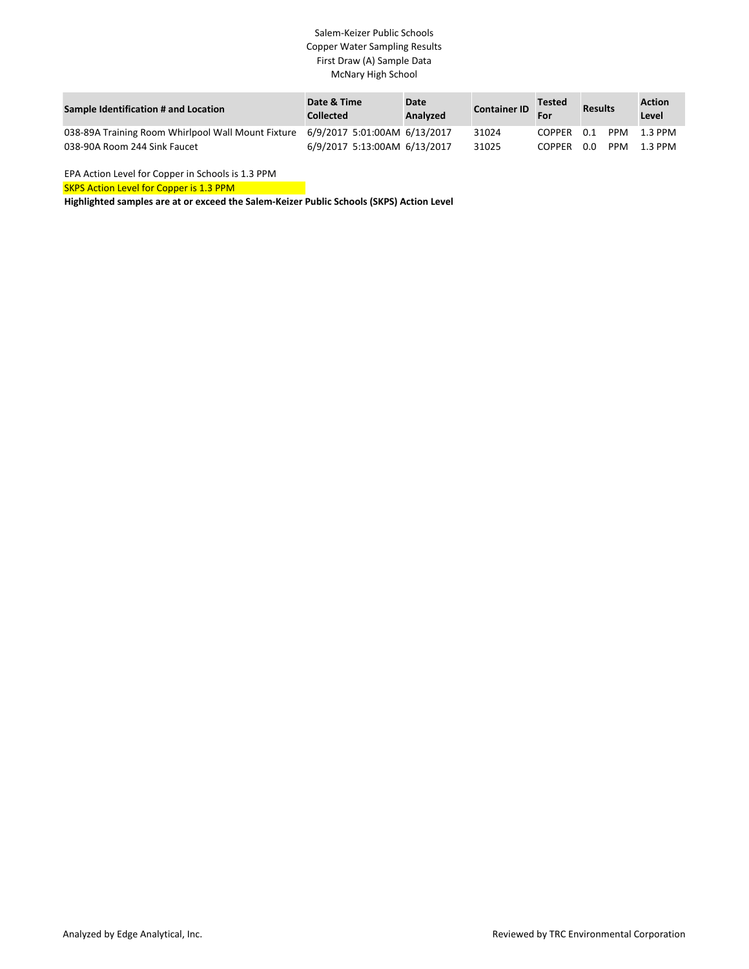| Sample Identification # and Location                                            | Date & Time<br><b>Collected</b> | <b>Date</b><br><b>Analyzed</b> | <b>Container ID</b> | <b>Tested</b><br>For | <b>Results</b>    | <b>Action</b><br>Level |
|---------------------------------------------------------------------------------|---------------------------------|--------------------------------|---------------------|----------------------|-------------------|------------------------|
| 038-89A Training Room Whirlpool Wall Mount Fixture 6/9/2017 5:01:00AM 6/13/2017 |                                 |                                | 31024               | COPPER               | 0.1<br>PPM        | 1.3 PPM                |
| 038-90A Room 244 Sink Faucet                                                    | 6/9/2017 5:13:00AM 6/13/2017    |                                | 31025               | <b>COPPER</b>        | 0.0<br><b>PPM</b> | 1.3 PPM                |

EPA Action Level for Copper in Schools is 1.3 PPM

SKPS Action Level for Copper is 1.3 PPM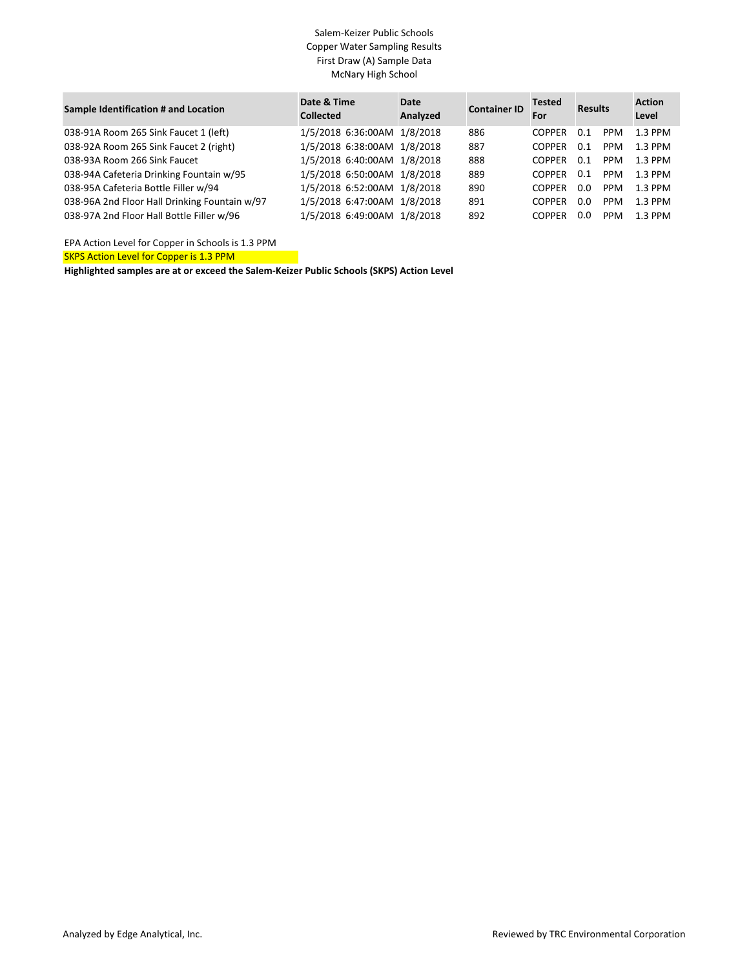| Sample Identification # and Location          | Date & Time<br><b>Collected</b> | Date<br>Analyzed | <b>Container ID</b> | <b>Tested</b><br>For | <b>Results</b> |            | <b>Action</b><br>Level |
|-----------------------------------------------|---------------------------------|------------------|---------------------|----------------------|----------------|------------|------------------------|
| 038-91A Room 265 Sink Faucet 1 (left)         | 1/5/2018 6:36:00AM 1/8/2018     |                  | 886                 | <b>COPPER</b>        | 0.1            | <b>PPM</b> | $1.3$ PPM              |
| 038-92A Room 265 Sink Faucet 2 (right)        | 1/5/2018 6:38:00AM 1/8/2018     |                  | 887                 | <b>COPPER</b>        | 0.1            | <b>PPM</b> | 1.3 PPM                |
| 038-93A Room 266 Sink Faucet                  | 1/5/2018 6:40:00AM 1/8/2018     |                  | 888                 | <b>COPPER</b>        | 0.1            | PPM        | 1.3 PPM                |
| 038-94A Cafeteria Drinking Fountain w/95      | 1/5/2018 6:50:00AM 1/8/2018     |                  | 889                 | <b>COPPER</b>        | 0.1            | <b>PPM</b> | $1.3$ PPM              |
| 038-95A Cafeteria Bottle Filler w/94          | 1/5/2018 6:52:00AM 1/8/2018     |                  | 890                 | <b>COPPER</b>        | 0.0            | <b>PPM</b> | $1.3$ PPM              |
| 038-96A 2nd Floor Hall Drinking Fountain w/97 | 1/5/2018 6:47:00AM 1/8/2018     |                  | 891                 | <b>COPPER</b>        | 0.0            | <b>PPM</b> | 1.3 PPM                |
| 038-97A 2nd Floor Hall Bottle Filler w/96     | 1/5/2018 6:49:00AM 1/8/2018     |                  | 892                 | <b>COPPER</b>        | 0.0            | <b>PPM</b> | 1.3 PPM                |

EPA Action Level for Copper in Schools is 1.3 PPM

SKPS Action Level for Copper is 1.3 PPM